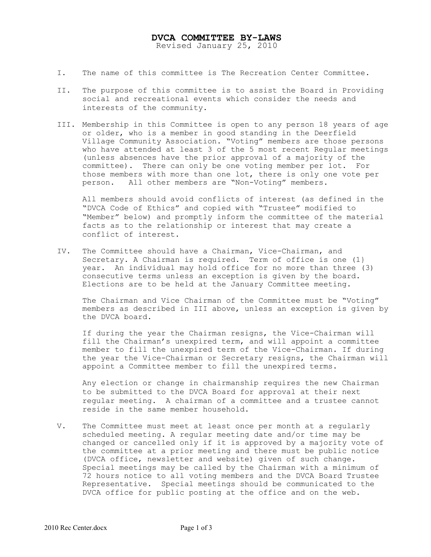## DVCA COMMITTEE BY-LAWS

Revised January 25, 2010

- I. The name of this committee is The Recreation Center Committee.
- II. The purpose of this committee is to assist the Board in Providing social and recreational events which consider the needs and interests of the community.
- III. Membership in this Committee is open to any person 18 years of age or older, who is a member in good standing in the Deerfield Village Community Association. "Voting" members are those persons who have attended at least 3 of the 5 most recent Regular meetings (unless absences have the prior approval of a majority of the committee). There can only be one voting member per lot. For those members with more than one lot, there is only one vote per person. All other members are "Non-Voting" members.

All members should avoid conflicts of interest (as defined in the "DVCA Code of Ethics" and copied with "Trustee" modified to "Member" below) and promptly inform the committee of the material facts as to the relationship or interest that may create a conflict of interest.

IV. The Committee should have a Chairman, Vice-Chairman, and Secretary. A Chairman is required. Term of office is one (1} year. An individual may hold office for no more than three (3) consecutive terms unless an exception is given by the board. Elections are to be held at the January Committee meeting.

The Chairman and Vice Chairman of the Committee must be "Voting" members as described in III above, unless an exception is given by the DVCA board.

If during the year the Chairman resigns, the Vice-Chairman will fill the Chairman's unexpired term, and will appoint a committee member to fill the unexpired term of the Vice-Chairman. If during the year the Vice-Chairman or Secretary resigns, the Chairman will appoint a Committee member to fill the unexpired terms.

Any election or change in chairmanship requires the new Chairman to be submitted to the DVCA Board for approval at their next regular meeting. A chairman of a committee and a trustee cannot reside in the same member household.

V. The Committee must meet at least once per month at a regularly scheduled meeting. A regular meeting date and/or time may be changed or cancelled only if it is approved by a majority vote of the committee at a prior meeting and there must be public notice (DVCA office, newsletter and website) given of such change. Special meetings may be called by the Chairman with a minimum of 72 hours notice to all voting members and the DVCA Board Trustee Representative. Special meetings should be communicated to the DVCA office for public posting at the office and on the web.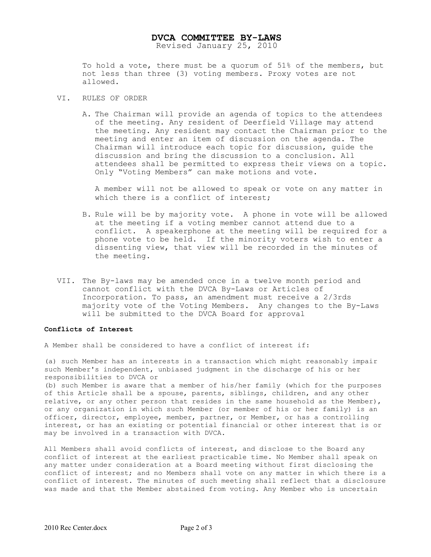## DVCA COMMITTEE BY-LAWS

Revised January 25, 2010

To hold a vote, there must be a quorum of 51% of the members, but not less than three (3) voting members. Proxy votes are not allowed.

- VI. RULES OF ORDER
	- A. The Chairman will provide an agenda of topics to the attendees of the meeting. Any resident of Deerfield Village may attend the meeting. Any resident may contact the Chairman prior to the meeting and enter an item of discussion on the agenda. The Chairman will introduce each topic for discussion, guide the discussion and bring the discussion to a conclusion. All attendees shall be permitted to express their views on a topic. Only "Voting Members" can make motions and vote.

A member will not be allowed to speak or vote on any matter in which there is a conflict of interest;

- B. Rule will be by majority vote. A phone in vote will be allowed at the meeting if a voting member cannot attend due to a conflict. A speakerphone at the meeting will be required for a phone vote to be held. If the minority voters wish to enter a dissenting view, that view will be recorded in the minutes of the meeting.
- VII. The By-laws may be amended once in a twelve month period and cannot conflict with the DVCA By-Laws or Articles of Incorporation. To pass, an amendment must receive a 2/3rds majority vote of the Voting Members. Any changes to the By-Laws will be submitted to the DVCA Board for approval

## Conflicts of Interest

A Member shall be considered to have a conflict of interest if:

(a) such Member has an interests in a transaction which might reasonably impair such Member's independent, unbiased judgment in the discharge of his or her responsibilities to DVCA or

(b) such Member is aware that a member of his/her family (which for the purposes of this Article shall be a spouse, parents, siblings, children, and any other relative, or any other person that resides in the same household as the Member), or any organization in which such Member (or member of his or her family) is an officer, director, employee, member, partner, or Member, or has a controlling interest, or has an existing or potential financial or other interest that is or may be involved in a transaction with DVCA.

All Members shall avoid conflicts of interest, and disclose to the Board any conflict of interest at the earliest practicable time. No Member shall speak on any matter under consideration at a Board meeting without first disclosing the conflict of interest; and no Members shall vote on any matter in which there is a conflict of interest. The minutes of such meeting shall reflect that a disclosure was made and that the Member abstained from voting. Any Member who is uncertain